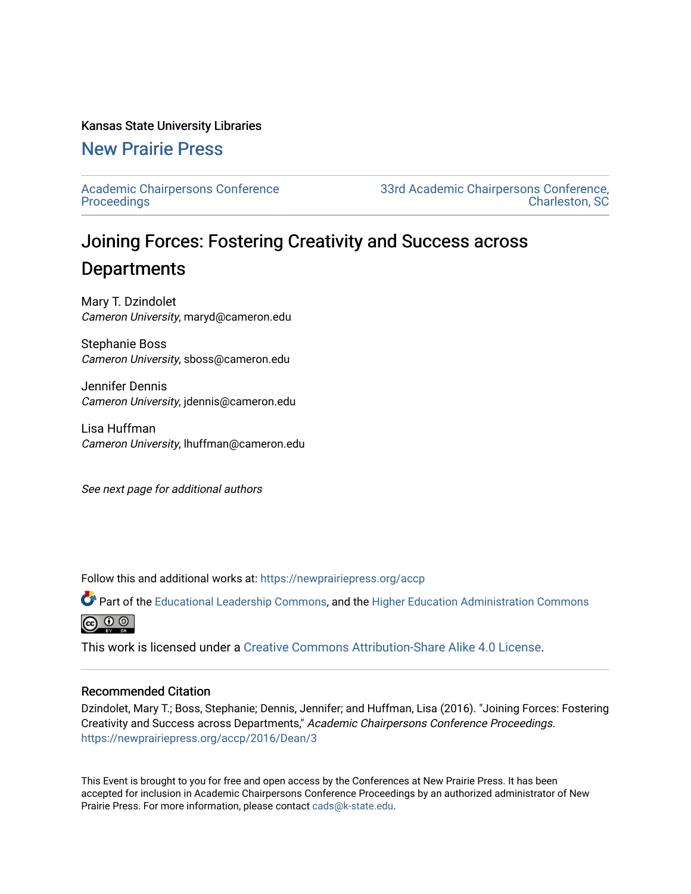#### Kansas State University Libraries

# [New Prairie Press](https://newprairiepress.org/)

[Academic Chairpersons Conference](https://newprairiepress.org/accp)  **Proceedings** 

[33rd Academic Chairpersons Conference,](https://newprairiepress.org/accp/2016)  [Charleston, SC](https://newprairiepress.org/accp/2016) 

# Joining Forces: Fostering Creativity and Success across **Departments**

Mary T. Dzindolet Cameron University, maryd@cameron.edu

Stephanie Boss Cameron University, sboss@cameron.edu

Jennifer Dennis Cameron University, jdennis@cameron.edu

Lisa Huffman Cameron University, lhuffman@cameron.edu

See next page for additional authors

Follow this and additional works at: [https://newprairiepress.org/accp](https://newprairiepress.org/accp?utm_source=newprairiepress.org%2Faccp%2F2016%2FDean%2F3&utm_medium=PDF&utm_campaign=PDFCoverPages) 

Part of the [Educational Leadership Commons,](http://network.bepress.com/hgg/discipline/1230?utm_source=newprairiepress.org%2Faccp%2F2016%2FDean%2F3&utm_medium=PDF&utm_campaign=PDFCoverPages) and the [Higher Education Administration Commons](http://network.bepress.com/hgg/discipline/791?utm_source=newprairiepress.org%2Faccp%2F2016%2FDean%2F3&utm_medium=PDF&utm_campaign=PDFCoverPages) ெ 0 ©

This work is licensed under a [Creative Commons Attribution-Share Alike 4.0 License.](https://creativecommons.org/licenses/by-sa/4.0/)

#### Recommended Citation

Dzindolet, Mary T.; Boss, Stephanie; Dennis, Jennifer; and Huffman, Lisa (2016). "Joining Forces: Fostering Creativity and Success across Departments," Academic Chairpersons Conference Proceedings. <https://newprairiepress.org/accp/2016/Dean/3>

This Event is brought to you for free and open access by the Conferences at New Prairie Press. It has been accepted for inclusion in Academic Chairpersons Conference Proceedings by an authorized administrator of New Prairie Press. For more information, please contact [cads@k-state.edu.](mailto:cads@k-state.edu)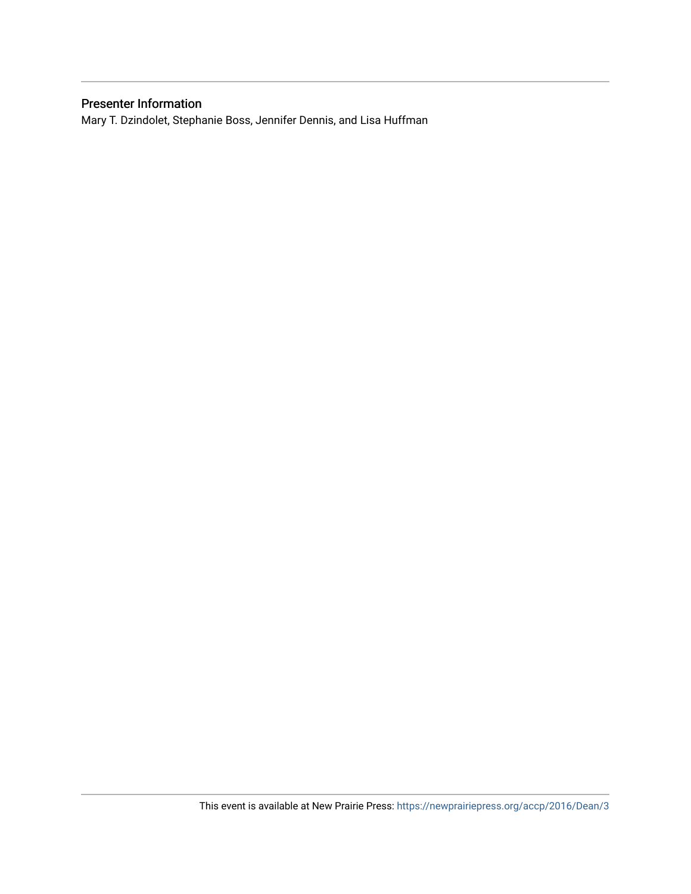## Presenter Information

Mary T. Dzindolet, Stephanie Boss, Jennifer Dennis, and Lisa Huffman